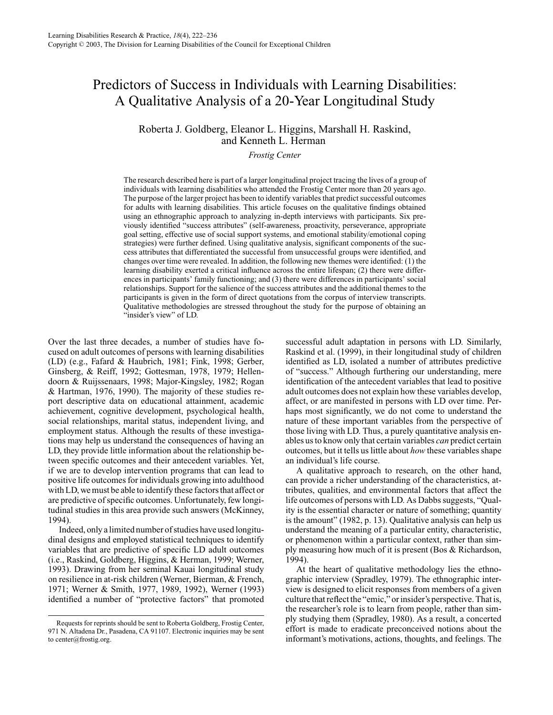# Predictors of Success in Individuals with Learning Disabilities: A Qualitative Analysis of a 20-Year Longitudinal Study

Roberta J. Goldberg, Eleanor L. Higgins, Marshall H. Raskind, and Kenneth L. Herman

*Frostig Center*

The research described here is part of a larger longitudinal project tracing the lives of a group of individuals with learning disabilities who attended the Frostig Center more than 20 years ago. The purpose of the larger project has been to identify variables that predict successful outcomes for adults with learning disabilities. This article focuses on the qualitative findings obtained using an ethnographic approach to analyzing in-depth interviews with participants. Six previously identified "success attributes" (self-awareness, proactivity, perseverance, appropriate goal setting, effective use of social support systems, and emotional stability/emotional coping strategies) were further defined. Using qualitative analysis, significant components of the success attributes that differentiated the successful from unsuccessful groups were identified, and changes over time were revealed. In addition, the following new themes were identified: (1) the learning disability exerted a critical influence across the entire lifespan; (2) there were differences in participants' family functioning; and (3) there were differences in participants' social relationships. Support for the salience of the success attributes and the additional themes to the participants is given in the form of direct quotations from the corpus of interview transcripts. Qualitative methodologies are stressed throughout the study for the purpose of obtaining an "insider's view" of LD.

Over the last three decades, a number of studies have focused on adult outcomes of persons with learning disabilities (LD) (e.g., Fafard & Haubrich, 1981; Fink, 1998; Gerber, Ginsberg, & Reiff, 1992; Gottesman, 1978, 1979; Hellendoorn & Ruijssenaars, 1998; Major-Kingsley, 1982; Rogan & Hartman, 1976, 1990). The majority of these studies report descriptive data on educational attainment, academic achievement, cognitive development, psychological health, social relationships, marital status, independent living, and employment status. Although the results of these investigations may help us understand the consequences of having an LD, they provide little information about the relationship between specific outcomes and their antecedent variables. Yet, if we are to develop intervention programs that can lead to positive life outcomes for individuals growing into adulthood with LD, we must be able to identify these factors that affect or are predictive of specific outcomes. Unfortunately, few longitudinal studies in this area provide such answers (McKinney, 1994).

Indeed, only a limited number of studies have used longitudinal designs and employed statistical techniques to identify variables that are predictive of specific LD adult outcomes (i.e., Raskind, Goldberg, Higgins, & Herman, 1999; Werner, 1993). Drawing from her seminal Kauai longitudinal study on resilience in at-risk children (Werner, Bierman, & French, 1971; Werner & Smith, 1977, 1989, 1992), Werner (1993) identified a number of "protective factors" that promoted

successful adult adaptation in persons with LD. Similarly, Raskind et al. (1999), in their longitudinal study of children identified as LD, isolated a number of attributes predictive of "success." Although furthering our understanding, mere identification of the antecedent variables that lead to positive adult outcomes does not explain how these variables develop, affect, or are manifested in persons with LD over time. Perhaps most significantly, we do not come to understand the nature of these important variables from the perspective of those living with LD. Thus, a purely quantitative analysis enables us to know only that certain variables *can* predict certain outcomes, but it tells us little about *how* these variables shape an individual's life course.

A qualitative approach to research, on the other hand, can provide a richer understanding of the characteristics, attributes, qualities, and environmental factors that affect the life outcomes of persons with LD. As Dabbs suggests, "Quality is the essential character or nature of something; quantity is the amount" (1982, p. 13). Qualitative analysis can help us understand the meaning of a particular entity, characteristic, or phenomenon within a particular context, rather than simply measuring how much of it is present (Bos & Richardson, 1994).

At the heart of qualitative methodology lies the ethnographic interview (Spradley, 1979). The ethnographic interview is designed to elicit responses from members of a given culture that reflect the "emic," or insider's perspective. That is, the researcher's role is to learn from people, rather than simply studying them (Spradley, 1980). As a result, a concerted effort is made to eradicate preconceived notions about the informant's motivations, actions, thoughts, and feelings. The

Requests for reprints should be sent to Roberta Goldberg, Frostig Center, 971 N. Altadena Dr., Pasadena, CA 91107. Electronic inquiries may be sent to center@frostig.org.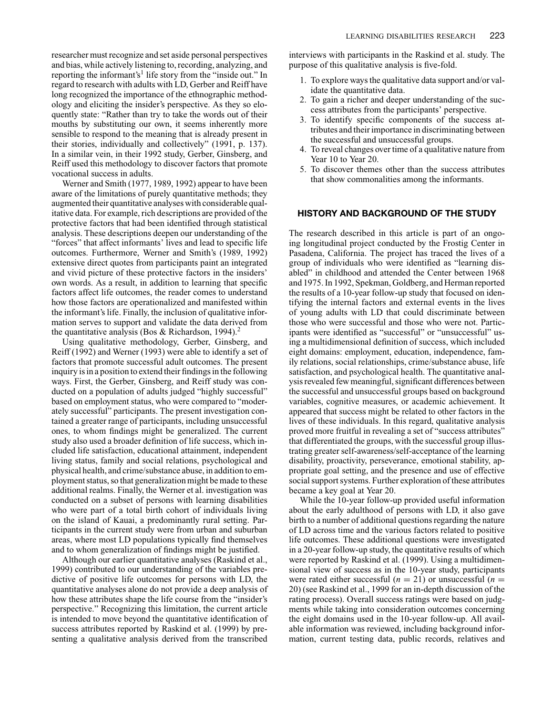researcher must recognize and set aside personal perspectives and bias, while actively listening to, recording, analyzing, and reporting the informant's<sup>1</sup> life story from the "inside out." In regard to research with adults with LD, Gerber and Reiff have long recognized the importance of the ethnographic methodology and eliciting the insider's perspective. As they so eloquently state: "Rather than try to take the words out of their mouths by substituting our own, it seems inherently more sensible to respond to the meaning that is already present in their stories, individually and collectively" (1991, p. 137). In a similar vein, in their 1992 study, Gerber, Ginsberg, and Reiff used this methodology to discover factors that promote vocational success in adults.

Werner and Smith (1977, 1989, 1992) appear to have been aware of the limitations of purely quantitative methods; they augmented their quantitative analyses with considerable qualitative data. For example, rich descriptions are provided of the protective factors that had been identified through statistical analysis. These descriptions deepen our understanding of the "forces" that affect informants' lives and lead to specific life outcomes. Furthermore, Werner and Smith's (1989, 1992) extensive direct quotes from participants paint an integrated and vivid picture of these protective factors in the insiders' own words. As a result, in addition to learning that specific factors affect life outcomes, the reader comes to understand how those factors are operationalized and manifested within the informant's life. Finally, the inclusion of qualitative information serves to support and validate the data derived from the quantitative analysis (Bos & Richardson, 1994).<sup>2</sup>

Using qualitative methodology, Gerber, Ginsberg, and Reiff (1992) and Werner (1993) were able to identify a set of factors that promote successful adult outcomes. The present inquiry is in a position to extend their findings in the following ways. First, the Gerber, Ginsberg, and Reiff study was conducted on a population of adults judged "highly successful" based on employment status, who were compared to "moderately successful" participants. The present investigation contained a greater range of participants, including unsuccessful ones, to whom findings might be generalized. The current study also used a broader definition of life success, which included life satisfaction, educational attainment, independent living status, family and social relations, psychological and physical health, and crime/substance abuse, in addition to employment status, so that generalization might be made to these additional realms. Finally, the Werner et al. investigation was conducted on a subset of persons with learning disabilities who were part of a total birth cohort of individuals living on the island of Kauai, a predominantly rural setting. Participants in the current study were from urban and suburban areas, where most LD populations typically find themselves and to whom generalization of findings might be justified.

Although our earlier quantitative analyses (Raskind et al., 1999) contributed to our understanding of the variables predictive of positive life outcomes for persons with LD, the quantitative analyses alone do not provide a deep analysis of how these attributes shape the life course from the "insider's perspective." Recognizing this limitation, the current article is intended to move beyond the quantitative identification of success attributes reported by Raskind et al. (1999) by presenting a qualitative analysis derived from the transcribed

interviews with participants in the Raskind et al. study. The purpose of this qualitative analysis is five-fold.

- 1. To explore ways the qualitative data support and/or validate the quantitative data.
- 2. To gain a richer and deeper understanding of the success attributes from the participants' perspective.
- 3. To identify specific components of the success attributes and their importance in discriminating between the successful and unsuccessful groups.
- 4. To reveal changes over time of a qualitative nature from Year 10 to Year 20.
- 5. To discover themes other than the success attributes that show commonalities among the informants.

# **HISTORY AND BACKGROUND OF THE STUDY**

The research described in this article is part of an ongoing longitudinal project conducted by the Frostig Center in Pasadena, California. The project has traced the lives of a group of individuals who were identified as "learning disabled" in childhood and attended the Center between 1968 and 1975. In 1992, Spekman, Goldberg, and Herman reported the results of a 10-year follow-up study that focused on identifying the internal factors and external events in the lives of young adults with LD that could discriminate between those who were successful and those who were not. Participants were identified as "successful" or "unsuccessful" using a multidimensional definition of success, which included eight domains: employment, education, independence, family relations, social relationships, crime/substance abuse, life satisfaction, and psychological health. The quantitative analysis revealed few meaningful, significant differences between the successful and unsuccessful groups based on background variables, cognitive measures, or academic achievement. It appeared that success might be related to other factors in the lives of these individuals. In this regard, qualitative analysis proved more fruitful in revealing a set of "success attributes" that differentiated the groups, with the successful group illustrating greater self-awareness/self-acceptance of the learning disability, proactivity, perseverance, emotional stability, appropriate goal setting, and the presence and use of effective social support systems. Further exploration of these attributes became a key goal at Year 20.

While the 10-year follow-up provided useful information about the early adulthood of persons with LD, it also gave birth to a number of additional questions regarding the nature of LD across time and the various factors related to positive life outcomes. These additional questions were investigated in a 20-year follow-up study, the quantitative results of which were reported by Raskind et al. (1999). Using a multidimensional view of success as in the 10-year study, participants were rated either successful ( $n = 21$ ) or unsuccessful ( $n =$ 20) (see Raskind et al., 1999 for an in-depth discussion of the rating process). Overall success ratings were based on judgments while taking into consideration outcomes concerning the eight domains used in the 10-year follow-up. All available information was reviewed, including background information, current testing data, public records, relatives and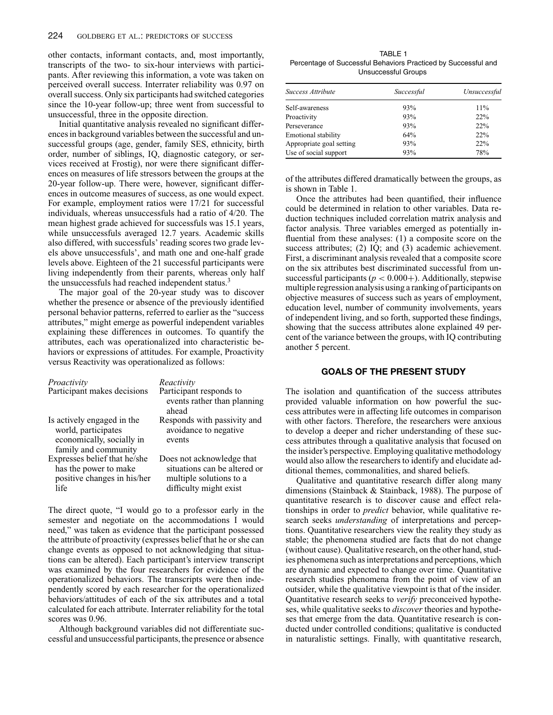other contacts, informant contacts, and, most importantly, transcripts of the two- to six-hour interviews with participants. After reviewing this information, a vote was taken on perceived overall success. Interrater reliability was 0.97 on overall success. Only six participants had switched categories since the 10-year follow-up; three went from successful to unsuccessful, three in the opposite direction.

Initial quantitative analysis revealed no significant differences in background variables between the successful and unsuccessful groups (age, gender, family SES, ethnicity, birth order, number of siblings, IQ, diagnostic category, or services received at Frostig), nor were there significant differences on measures of life stressors between the groups at the 20-year follow-up. There were, however, significant differences in outcome measures of success, as one would expect. For example, employment ratios were 17/21 for successful individuals, whereas unsuccessfuls had a ratio of 4/20. The mean highest grade achieved for successfuls was 15.1 years, while unsuccessfuls averaged 12.7 years. Academic skills also differed, with successfuls' reading scores two grade levels above unsuccessfuls', and math one and one-half grade levels above. Eighteen of the 21 successful participants were living independently from their parents, whereas only half the unsuccessfuls had reached independent status.<sup>3</sup>

The major goal of the 20-year study was to discover whether the presence or absence of the previously identified personal behavior patterns, referred to earlier as the "success attributes," might emerge as powerful independent variables explaining these differences in outcomes. To quantify the attributes, each was operationalized into characteristic behaviors or expressions of attitudes. For example, Proactivity versus Reactivity was operationalized as follows:

| Proactivity<br>Participant makes decisions                                                             | Reactivity<br>Participant responds to<br>events rather than planning<br>ahead                                  |
|--------------------------------------------------------------------------------------------------------|----------------------------------------------------------------------------------------------------------------|
| Is actively engaged in the<br>world, participates<br>economically, socially in<br>family and community | Responds with passivity and<br>avoidance to negative<br>events                                                 |
| Expresses belief that he/she<br>has the power to make<br>positive changes in his/her<br>life.          | Does not acknowledge that<br>situations can be altered or<br>multiple solutions to a<br>difficulty might exist |

The direct quote, "I would go to a professor early in the semester and negotiate on the accommodations I would need," was taken as evidence that the participant possessed the attribute of proactivity (expresses belief that he or she can change events as opposed to not acknowledging that situations can be altered). Each participant's interview transcript was examined by the four researchers for evidence of the operationalized behaviors. The transcripts were then independently scored by each researcher for the operationalized behaviors/attitudes of each of the six attributes and a total calculated for each attribute. Interrater reliability for the total scores was 0.96.

Although background variables did not differentiate successful and unsuccessful participants, the presence or absence

TABLE 1 Percentage of Successful Behaviors Practiced by Successful and Unsuccessful Groups

| <b>Success Attribute</b>   | Successful | Unsuccessful |
|----------------------------|------------|--------------|
| Self-awareness             | 93%        | 11%          |
| Proactivity                | 93%        | 22%          |
| Perseverance               | 93%        | 22%          |
| <b>Emotional stability</b> | 64%        | 22%          |
| Appropriate goal setting   | 93%        | 22%          |
| Use of social support      | 93%        | 78%          |

of the attributes differed dramatically between the groups, as is shown in Table 1.

Once the attributes had been quantified, their influence could be determined in relation to other variables. Data reduction techniques included correlation matrix analysis and factor analysis. Three variables emerged as potentially influential from these analyses: (1) a composite score on the success attributes; (2) IQ; and (3) academic achievement. First, a discriminant analysis revealed that a composite score on the six attributes best discriminated successful from unsuccessful participants  $(p < 0.000+)$ . Additionally, stepwise multiple regression analysis using a ranking of participants on objective measures of success such as years of employment, education level, number of community involvements, years of independent living, and so forth, supported these findings, showing that the success attributes alone explained 49 percent of the variance between the groups, with IQ contributing another 5 percent.

# **GOALS OF THE PRESENT STUDY**

The isolation and quantification of the success attributes provided valuable information on how powerful the success attributes were in affecting life outcomes in comparison with other factors. Therefore, the researchers were anxious to develop a deeper and richer understanding of these success attributes through a qualitative analysis that focused on the insider's perspective. Employing qualitative methodology would also allow the researchers to identify and elucidate additional themes, commonalities, and shared beliefs.

Qualitative and quantitative research differ along many dimensions (Stainback & Stainback, 1988). The purpose of quantitative research is to discover cause and effect relationships in order to *predict* behavior, while qualitative research seeks *understanding* of interpretations and perceptions. Quantitative researchers view the reality they study as stable; the phenomena studied are facts that do not change (without cause). Qualitative research, on the other hand, studies phenomena such as interpretations and perceptions, which are dynamic and expected to change over time. Quantitative research studies phenomena from the point of view of an outsider, while the qualitative viewpoint is that of the insider. Quantitative research seeks to *verify* preconceived hypotheses, while qualitative seeks to *discover* theories and hypotheses that emerge from the data. Quantitative research is conducted under controlled conditions; qualitative is conducted in naturalistic settings. Finally, with quantitative research,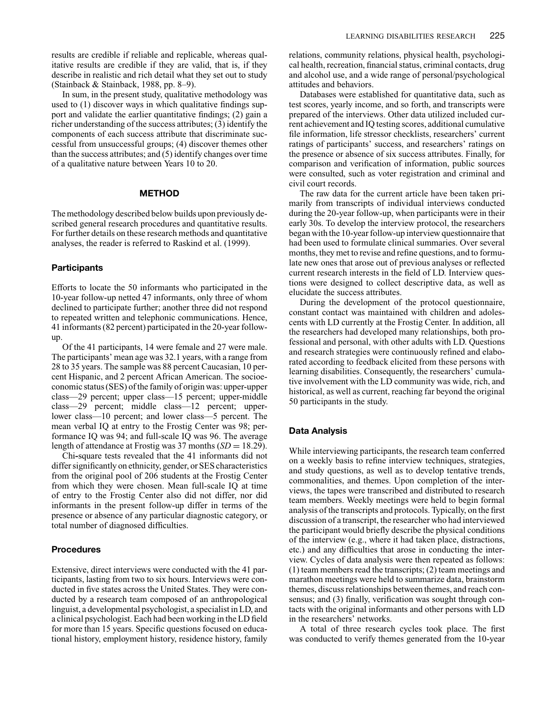results are credible if reliable and replicable, whereas qualitative results are credible if they are valid, that is, if they describe in realistic and rich detail what they set out to study (Stainback & Stainback, 1988, pp. 8–9).

In sum, in the present study, qualitative methodology was used to (1) discover ways in which qualitative findings support and validate the earlier quantitative findings; (2) gain a richer understanding of the success attributes; (3) identify the components of each success attribute that discriminate successful from unsuccessful groups; (4) discover themes other than the success attributes; and (5) identify changes over time of a qualitative nature between Years 10 to 20.

# **METHOD**

The methodology described below builds upon previously described general research procedures and quantitative results. For further details on these research methods and quantitative analyses, the reader is referred to Raskind et al. (1999).

## **Participants**

Efforts to locate the 50 informants who participated in the 10-year follow-up netted 47 informants, only three of whom declined to participate further; another three did not respond to repeated written and telephonic communications. Hence, 41 informants (82 percent) participated in the 20-year followup.

Of the 41 participants, 14 were female and 27 were male. The participants' mean age was 32.1 years, with a range from 28 to 35 years. The sample was 88 percent Caucasian, 10 percent Hispanic, and 2 percent African American. The socioeconomic status (SES) of the family of origin was: upper-upper class—29 percent; upper class—15 percent; upper-middle class—29 percent; middle class—12 percent; upperlower class—10 percent; and lower class—5 percent. The mean verbal IQ at entry to the Frostig Center was 98; performance IQ was 94; and full-scale IQ was 96. The average length of attendance at Frostig was 37 months (*SD* = 18.29).

Chi**-**square tests revealed that the 41 informants did not differ significantly on ethnicity, gender, or SES characteristics from the original pool of 206 students at the Frostig Center from which they were chosen. Mean full-scale IQ at time of entry to the Frostig Center also did not differ, nor did informants in the present follow-up differ in terms of the presence or absence of any particular diagnostic category, or total number of diagnosed difficulties.

## **Procedures**

Extensive, direct interviews were conducted with the 41 participants, lasting from two to six hours. Interviews were conducted in five states across the United States. They were conducted by a research team composed of an anthropological linguist, a developmental psychologist, a specialist in LD, and a clinical psychologist. Each had been working in the LD field for more than 15 years. Specific questions focused on educational history, employment history, residence history, family relations, community relations, physical health, psychological health, recreation, financial status, criminal contacts, drug and alcohol use, and a wide range of personal/psychological attitudes and behaviors.

Databases were established for quantitative data, such as test scores, yearly income, and so forth, and transcripts were prepared of the interviews. Other data utilized included current achievement and IQ testing scores, additional cumulative file information, life stressor checklists, researchers' current ratings of participants' success, and researchers' ratings on the presence or absence of six success attributes. Finally, for comparison and verification of information, public sources were consulted, such as voter registration and criminal and civil court records.

The raw data for the current article have been taken primarily from transcripts of individual interviews conducted during the 20-year follow-up, when participants were in their early 30s. To develop the interview protocol, the researchers began with the 10-year follow-up interview questionnaire that had been used to formulate clinical summaries. Over several months, they met to revise and refine questions, and to formulate new ones that arose out of previous analyses or reflected current research interests in the field of LD. Interview questions were designed to collect descriptive data, as well as elucidate the success attributes.

During the development of the protocol questionnaire, constant contact was maintained with children and adolescents with LD currently at the Frostig Center. In addition, all the researchers had developed many relationships, both professional and personal, with other adults with LD. Questions and research strategies were continuously refined and elaborated according to feedback elicited from these persons with learning disabilities. Consequently, the researchers' cumulative involvement with the LD community was wide, rich, and historical, as well as current, reaching far beyond the original 50 participants in the study.

## **Data Analysis**

While interviewing participants, the research team conferred on a weekly basis to refine interview techniques, strategies, and study questions, as well as to develop tentative trends, commonalities, and themes. Upon completion of the interviews, the tapes were transcribed and distributed to research team members. Weekly meetings were held to begin formal analysis of the transcripts and protocols. Typically, on the first discussion of a transcript, the researcher who had interviewed the participant would briefly describe the physical conditions of the interview (e.g., where it had taken place, distractions, etc.) and any difficulties that arose in conducting the interview. Cycles of data analysis were then repeated as follows: (1) team members read the transcripts; (2) team meetings and marathon meetings were held to summarize data, brainstorm themes, discuss relationships between themes, and reach consensus; and (3) finally, verification was sought through contacts with the original informants and other persons with LD in the researchers' networks.

A total of three research cycles took place. The first was conducted to verify themes generated from the 10-year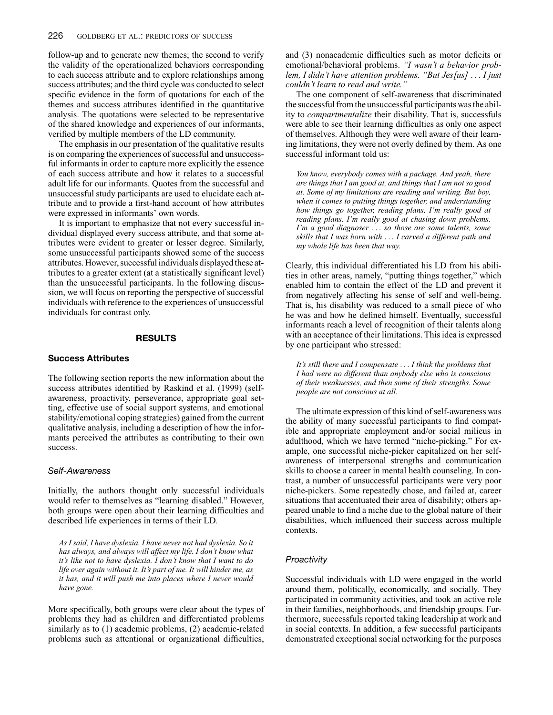follow-up and to generate new themes; the second to verify the validity of the operationalized behaviors corresponding to each success attribute and to explore relationships among success attributes; and the third cycle was conducted to select specific evidence in the form of quotations for each of the themes and success attributes identified in the quantitative analysis. The quotations were selected to be representative of the shared knowledge and experiences of our informants, verified by multiple members of the LD community.

The emphasis in our presentation of the qualitative results is on comparing the experiences of successful and unsuccessful informants in order to capture more explicitly the essence of each success attribute and how it relates to a successful adult life for our informants. Quotes from the successful and unsuccessful study participants are used to elucidate each attribute and to provide a first-hand account of how attributes were expressed in informants' own words.

It is important to emphasize that not every successful individual displayed every success attribute, and that some attributes were evident to greater or lesser degree. Similarly, some unsuccessful participants showed some of the success attributes. However, successful individuals displayed these attributes to a greater extent (at a statistically significant level) than the unsuccessful participants. In the following discussion, we will focus on reporting the perspective of successful individuals with reference to the experiences of unsuccessful individuals for contrast only.

# **RESULTS**

# **Success Attributes**

The following section reports the new information about the success attributes identified by Raskind et al. (1999) (selfawareness, proactivity, perseverance, appropriate goal setting, effective use of social support systems, and emotional stability/emotional coping strategies) gained from the current qualitative analysis, including a description of how the informants perceived the attributes as contributing to their own success.

# *Self-Awareness*

Initially, the authors thought only successful individuals would refer to themselves as "learning disabled." However, both groups were open about their learning difficulties and described life experiences in terms of their LD.

*As I said, I have dyslexia. I have never not had dyslexia. So it has always, and always will affect my life. I don't know what it's like not to have dyslexia. I don't know that I want to do life over again without it. It's part of me. It will hinder me, as it has, and it will push me into places where I never would have gone.*

More specifically, both groups were clear about the types of problems they had as children and differentiated problems similarly as to (1) academic problems, (2) academic-related problems such as attentional or organizational difficulties,

and (3) nonacademic difficulties such as motor deficits or emotional/behavioral problems. *"I wasn't a behavior problem, I didn't have attention problems. "But Jes[us]* ... *I just couldn't learn to read and write."*

The one component of self-awareness that discriminated the successful from the unsuccessful participants was the ability to *compartmentalize* their disability. That is, successfuls were able to see their learning difficulties as only one aspect of themselves. Although they were well aware of their learning limitations, they were not overly defined by them. As one successful informant told us:

*You know, everybody comes with a package. And yeah, there are things that I am good at, and things that I am not so good at. Some of my limitations are reading and writing. But boy, when it comes to putting things together, and understanding how things go together, reading plans, I'm really good at reading plans. I'm really good at chasing down problems. I'm a good diagnoser* ... *so those are some talents, some skills that I was born with* ... *I carved a different path and my whole life has been that way.*

Clearly, this individual differentiated his LD from his abilities in other areas, namely, "putting things together," which enabled him to contain the effect of the LD and prevent it from negatively affecting his sense of self and well-being. That is, his disability was reduced to a small piece of who he was and how he defined himself. Eventually, successful informants reach a level of recognition of their talents along with an acceptance of their limitations. This idea is expressed by one participant who stressed:

*It's still there and I compensate* ... *I think the problems that I had were no different than anybody else who is conscious of their weaknesses, and then some of their strengths. Some people are not conscious at all.*

The ultimate expression of this kind of self-awareness was the ability of many successful participants to find compatible and appropriate employment and/or social milieus in adulthood, which we have termed "niche-picking." For example, one successful niche-picker capitalized on her selfawareness of interpersonal strengths and communication skills to choose a career in mental health counseling. In contrast, a number of unsuccessful participants were very poor niche-pickers. Some repeatedly chose, and failed at, career situations that accentuated their area of disability; others appeared unable to find a niche due to the global nature of their disabilities, which influenced their success across multiple contexts.

# *Proactivity*

Successful individuals with LD were engaged in the world around them, politically, economically, and socially. They participated in community activities, and took an active role in their families, neighborhoods, and friendship groups. Furthermore, successfuls reported taking leadership at work and in social contexts. In addition, a few successful participants demonstrated exceptional social networking for the purposes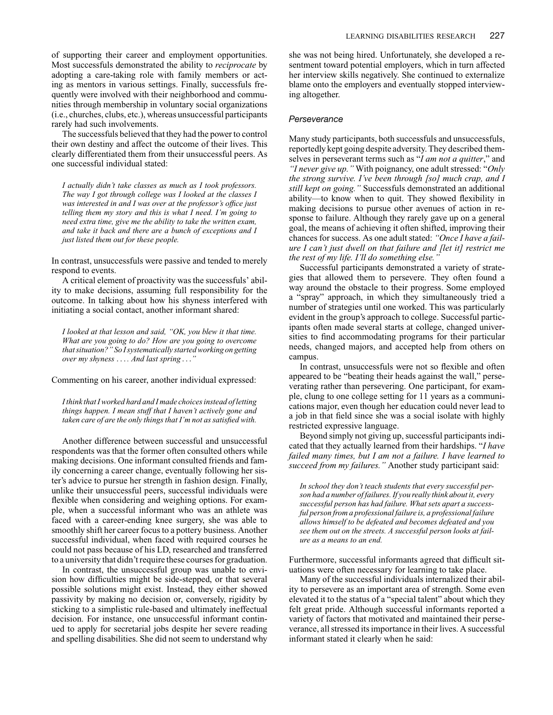of supporting their career and employment opportunities. Most successfuls demonstrated the ability to *reciprocate* by adopting a care-taking role with family members or acting as mentors in various settings. Finally, successfuls frequently were involved with their neighborhood and communities through membership in voluntary social organizations (i.e., churches, clubs, etc.), whereas unsuccessful participants rarely had such involvements.

The successfuls believed that they had the power to control their own destiny and affect the outcome of their lives. This clearly differentiated them from their unsuccessful peers. As one successful individual stated:

*I actually didn't take classes as much as I took professors. The way I got through college was I looked at the classes I was interested in and I was over at the professor's office just telling them my story and this is what I need. I'm going to need extra time, give me the ability to take the written exam, and take it back and there are a bunch of exceptions and I just listed them out for these people.*

In contrast, unsuccessfuls were passive and tended to merely respond to events.

A critical element of proactivity was the successfuls' ability to make decisions, assuming full responsibility for the outcome. In talking about how his shyness interfered with initiating a social contact, another informant shared:

*I looked at that lesson and said, "OK, you blew it that time. What are you going to do? How are you going to overcome that situation?" So I systematically started working on getting over my shyness* ... *. And last spring* ...*"*

Commenting on his career, another individual expressed:

*I think that I worked hard and I made choices instead of letting things happen. I mean stuff that I haven't actively gone and taken care of are the only things that I'm not as satisfied with.*

Another difference between successful and unsuccessful respondents was that the former often consulted others while making decisions. One informant consulted friends and family concerning a career change, eventually following her sister's advice to pursue her strength in fashion design. Finally, unlike their unsuccessful peers, successful individuals were flexible when considering and weighing options. For example, when a successful informant who was an athlete was faced with a career-ending knee surgery, she was able to smoothly shift her career focus to a pottery business. Another successful individual, when faced with required courses he could not pass because of his LD, researched and transferred to a university that didn't require these courses for graduation.

In contrast, the unsuccessful group was unable to envision how difficulties might be side-stepped, or that several possible solutions might exist. Instead, they either showed passivity by making no decision or, conversely, rigidity by sticking to a simplistic rule-based and ultimately ineffectual decision. For instance, one unsuccessful informant continued to apply for secretarial jobs despite her severe reading and spelling disabilities. She did not seem to understand why

she was not being hired. Unfortunately, she developed a resentment toward potential employers, which in turn affected her interview skills negatively. She continued to externalize blame onto the employers and eventually stopped interviewing altogether.

#### *Perseverance*

Many study participants, both successfuls and unsuccessfuls, reportedly kept going despite adversity. They described themselves in perseverant terms such as "*I am not a quitter*," and *"I never give up."* With poignancy, one adult stressed: "*Only the strong survive. I've been through [so] much crap, and I still kept on going."* Successfuls demonstrated an additional ability—to know when to quit. They showed flexibility in making decisions to pursue other avenues of action in response to failure. Although they rarely gave up on a general goal, the means of achieving it often shifted, improving their chances for success. As one adult stated: *"Once I have a failure I can't just dwell on that failure and [let it] restrict me the rest of my life. I'll do something else."*

Successful participants demonstrated a variety of strategies that allowed them to persevere. They often found a way around the obstacle to their progress. Some employed a "spray" approach, in which they simultaneously tried a number of strategies until one worked. This was particularly evident in the group's approach to college. Successful participants often made several starts at college, changed universities to find accommodating programs for their particular needs, changed majors, and accepted help from others on campus.

In contrast, unsuccessfuls were not so flexible and often appeared to be "beating their heads against the wall," perseverating rather than persevering. One participant, for example, clung to one college setting for 11 years as a communications major, even though her education could never lead to a job in that field since she was a social isolate with highly restricted expressive language.

Beyond simply not giving up, successful participants indicated that they actually learned from their hardships. "*I have failed many times, but I am not a failure. I have learned to succeed from my failures."* Another study participant said:

*In school they don't teach students that every successful person had a number of failures. If you really think about it, every successful person has had failure. What sets apart a successful person from a professional failure is, a professional failure allows himself to be defeated and becomes defeated and you see them out on the streets. A successful person looks at failure as a means to an end.*

Furthermore, successful informants agreed that difficult situations were often necessary for learning to take place.

Many of the successful individuals internalized their ability to persevere as an important area of strength. Some even elevated it to the status of a "special talent" about which they felt great pride. Although successful informants reported a variety of factors that motivated and maintained their perseverance, all stressed its importance in their lives. A successful informant stated it clearly when he said: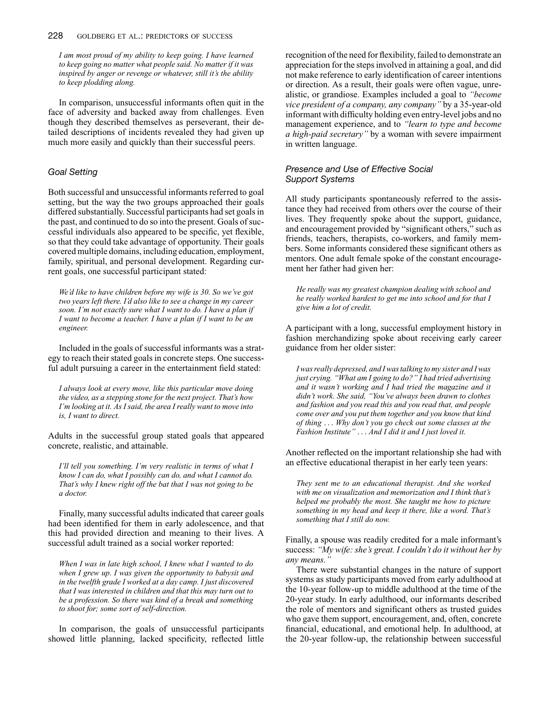#### 228 GOLDBERG ET AL.: PREDICTORS OF SUCCESS

*I am most proud of my ability to keep going. I have learned to keep going no matter what people said. No matter if it was inspired by anger or revenge or whatever, still it's the ability to keep plodding along.*

In comparison, unsuccessful informants often quit in the face of adversity and backed away from challenges. Even though they described themselves as perseverant, their detailed descriptions of incidents revealed they had given up much more easily and quickly than their successful peers.

# *Goal Setting*

Both successful and unsuccessful informants referred to goal setting, but the way the two groups approached their goals differed substantially. Successful participants had set goals in the past, and continued to do so into the present. Goals of successful individuals also appeared to be specific, yet flexible, so that they could take advantage of opportunity. Their goals covered multiple domains, including education, employment, family, spiritual, and personal development. Regarding current goals, one successful participant stated:

*We'd like to have children before my wife is 30. So we've got two years left there. I'd also like to see a change in my career soon. I'm not exactly sure what I want to do. I have a plan if I want to become a teacher. I have a plan if I want to be an engineer.*

Included in the goals of successful informants was a strategy to reach their stated goals in concrete steps. One successful adult pursuing a career in the entertainment field stated:

*I always look at every move, like this particular move doing the video, as a stepping stone for the next project. That's how I'm looking at it. As I said, the area I really want to move into is, I want to direct.*

Adults in the successful group stated goals that appeared concrete, realistic, and attainable.

*I'll tell you something. I'm very realistic in terms of what I know I can do, what I possibly can do, and what I cannot do. That's why I knew right off the bat that I was not going to be a doctor.*

Finally, many successful adults indicated that career goals had been identified for them in early adolescence, and that this had provided direction and meaning to their lives. A successful adult trained as a social worker reported:

*When I was in late high school, I knew what I wanted to do when I grew up. I was given the opportunity to babysit and in the twelfth grade I worked at a day camp. I just discovered that I was interested in children and that this may turn out to be a profession. So there was kind of a break and something to shoot for; some sort of self-direction.*

In comparison, the goals of unsuccessful participants showed little planning, lacked specificity, reflected little recognition of the need for flexibility, failed to demonstrate an appreciation for the steps involved in attaining a goal, and did not make reference to early identification of career intentions or direction. As a result, their goals were often vague, unrealistic, or grandiose. Examples included a goal to *"become vice president of a company, any company"* by a 35-year-old informant with difficulty holding even entry-level jobs and no management experience, and to *"learn to type and become a high-paid secretary"* by a woman with severe impairment in written language.

# *Presence and Use of Effective Social Support Systems*

All study participants spontaneously referred to the assistance they had received from others over the course of their lives. They frequently spoke about the support, guidance, and encouragement provided by "significant others," such as friends, teachers, therapists, co-workers, and family members. Some informants considered these significant others as mentors. One adult female spoke of the constant encouragement her father had given her:

*He really was my greatest champion dealing with school and he really worked hardest to get me into school and for that I give him a lot of credit.*

A participant with a long, successful employment history in fashion merchandizing spoke about receiving early career guidance from her older sister:

*I was really depressed, and I was talking to my sister and I was just crying. "What am I going to do?" I had tried advertising and it wasn't working and I had tried the magazine and it didn't work. She said, "You've always been drawn to clothes and fashion and you read this and you read that, and people come over and you put them together and you know that kind of thing* ... *Why don't you go check out some classes at the Fashion Institute"* ... *And I did it and I just loved it.*

Another reflected on the important relationship she had with an effective educational therapist in her early teen years:

*They sent me to an educational therapist. And she worked with me on visualization and memorization and I think that's helped me probably the most. She taught me how to picture something in my head and keep it there, like a word. That's something that I still do now.*

Finally, a spouse was readily credited for a male informant's success: *"My wife: she's great. I couldn't do it without her by any means."*

There were substantial changes in the nature of support systems as study participants moved from early adulthood at the 10-year follow-up to middle adulthood at the time of the 20-year study. In early adulthood, our informants described the role of mentors and significant others as trusted guides who gave them support, encouragement, and, often, concrete financial, educational, and emotional help. In adulthood, at the 20-year follow-up, the relationship between successful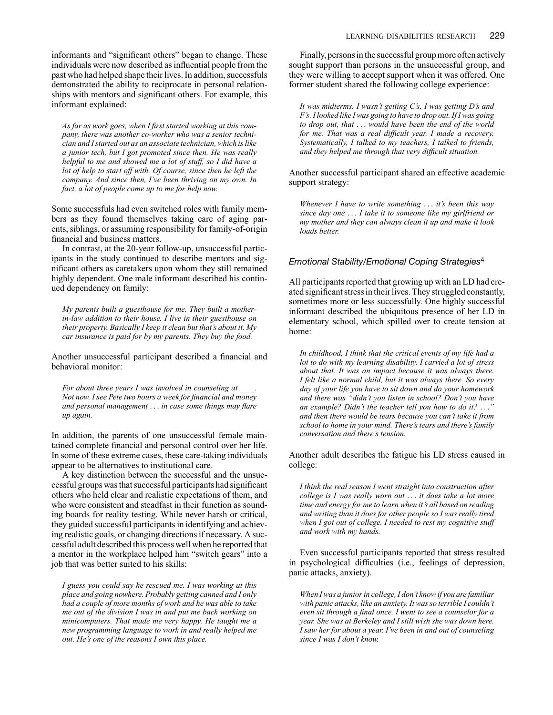informants and "significant others" began to change. These individuals were now described as influential people from the past who had helped shape their lives. In addition, successfuls demonstrated the ability to reciprocate in personal relationships with mentors and significant others. For example, this informant explained:

*As far as work goes, when I first started working at this company, there was another co-worker who was a senior technician and I started out as an associate technician, which is like a junior tech, but I got promoted since then. He was really helpful to me and showed me a lot of stuff, so I did have a lot of help to start off with. Of course, since then he left the company. And since then, I've been thriving on my own. In fact, a lot of people come up to me for help now.*

Some successfuls had even switched roles with family members as they found themselves taking care of aging parents, siblings, or assuming responsibility for family-of-origin financial and business matters.

In contrast, at the 20-year follow-up, unsuccessful participants in the study continued to describe mentors and significant others as caretakers upon whom they still remained highly dependent. One male informant described his continued dependency on family:

*My parents built a guesthouse for me. They built a motherin-law addition to their house. I live in their guesthouse on their property. Basically I keep it clean but that's about it. My car insurance is paid for by my parents. They buy the food.*

Another unsuccessful participant described a financial and behavioral monitor:

*For about three years I was involved in counseling at . Not now. I see Pete two hours a week for financial and money and personal management* ... *in case some things may flare up again.*

In addition, the parents of one unsuccessful female maintained complete financial and personal control over her life. In some of these extreme cases, these care-taking individuals appear to be alternatives to institutional care.

A key distinction between the successful and the unsuccessful groups was that successful participants had significant others who held clear and realistic expectations of them, and who were consistent and steadfast in their function as sounding boards for reality testing. While never harsh or critical, they guided successful participants in identifying and achieving realistic goals, or changing directions if necessary. A successful adult described this process well when he reported that a mentor in the workplace helped him "switch gears" into a job that was better suited to his skills:

*I guess you could say he rescued me. I was working at this place and going nowhere. Probably getting canned and I only had a couple of more months of work and he was able to take me out of the division I was in and put me back working on minicomputers. That made me very happy. He taught me a new programming language to work in and really helped me out. He's one of the reasons I own this place.*

Finally, persons in the successful group more often actively sought support than persons in the unsuccessful group, and they were willing to accept support when it was offered. One former student shared the following college experience:

*It was midterms. I wasn't getting C's, I was getting D's and F's. I looked like I was going to have to drop out. If I was going to drop out, that* ... *would have been the end of the world for me. That was a real difficult year. I made a recovery. Systematically, I talked to my teachers, I talked to friends, and they helped me through that very difficult situation.*

Another successful participant shared an effective academic support strategy:

*Whenever I have to write something* ... *it's been this way since day one* ... *I take it to someone like my girlfriend or my mother and they can always clean it up and make it look loads better.*

# *Emotional Stability/Emotional Coping Strategies*<sup>4</sup>

All participants reported that growing up with an LD had created significant stress in their lives. They struggled constantly, sometimes more or less successfully. One highly successful informant described the ubiquitous presence of her LD in elementary school, which spilled over to create tension at home:

*In childhood, I think that the critical events of my life had a lot to do with my learning disability. I carried a lot of stress about that. It was an impact because it was always there. I felt like a normal child, but it was always there. So every day of your life you have to sit down and do your homework and there was "didn't you listen in school? Don't you have an example? Didn't the teacher tell you how to do it?* ...*" and then there would be tears because you can't take it from school to home in your mind. There's tears and there's family conversation and there's tension.*

Another adult describes the fatigue his LD stress caused in college:

*I think the real reason I went straight into construction after college is I was really worn out* ... *it does take a lot more time and energy for me to learn when it's all based on reading and writing than it does for other people so I was really tired when I got out of college. I needed to rest my cognitive stuff and work with my hands.*

Even successful participants reported that stress resulted in psychological difficulties (i.e., feelings of depression, panic attacks, anxiety).

*When I was a junior in college, I don't know if you are familiar with panic attacks, like an anxiety. It was so terrible I couldn't even sit through a final once. I went to see a counselor for a year. She was at Berkeley and I still wish she was down here. I saw her for about a year. I've been in and out of counseling since I was I don't know.*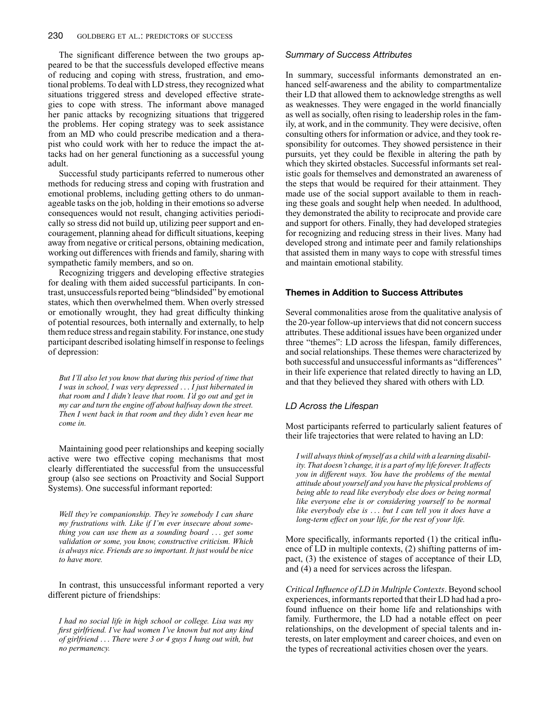The significant difference between the two groups appeared to be that the successfuls developed effective means of reducing and coping with stress, frustration, and emotional problems. To deal with LD stress, they recognized what situations triggered stress and developed effective strategies to cope with stress. The informant above managed her panic attacks by recognizing situations that triggered the problems. Her coping strategy was to seek assistance from an MD who could prescribe medication and a therapist who could work with her to reduce the impact the attacks had on her general functioning as a successful young adult.

Successful study participants referred to numerous other methods for reducing stress and coping with frustration and emotional problems, including getting others to do unmanageable tasks on the job, holding in their emotions so adverse consequences would not result, changing activities periodically so stress did not build up, utilizing peer support and encouragement, planning ahead for difficult situations, keeping away from negative or critical persons, obtaining medication, working out differences with friends and family, sharing with sympathetic family members, and so on.

Recognizing triggers and developing effective strategies for dealing with them aided successful participants. In contrast, unsuccessfuls reported being "blindsided" by emotional states, which then overwhelmed them. When overly stressed or emotionally wrought, they had great difficulty thinking of potential resources, both internally and externally, to help them reduce stress and regain stability. For instance, one study participant described isolating himself in response to feelings of depression:

*But I'll also let you know that during this period of time that I was in school, I was very depressed* ... *I just hibernated in that room and I didn't leave that room. I'd go out and get in my car and turn the engine off about halfway down the street. Then I went back in that room and they didn't even hear me come in.*

Maintaining good peer relationships and keeping socially active were two effective coping mechanisms that most clearly differentiated the successful from the unsuccessful group (also see sections on Proactivity and Social Support Systems). One successful informant reported:

*Well they're companionship. They're somebody I can share my frustrations with. Like if I'm ever insecure about something you can use them as a sounding board* ... *get some validation or some, you know, constructive criticism. Which is always nice. Friends are so important. It just would be nice to have more.*

In contrast, this unsuccessful informant reported a very different picture of friendships:

*I had no social life in high school or college. Lisa was my first girlfriend. I've had women I've known but not any kind of girlfriend* ... *There were 3 or 4 guys I hung out with, but no permanency.*

## *Summary of Success Attributes*

In summary, successful informants demonstrated an enhanced self-awareness and the ability to compartmentalize their LD that allowed them to acknowledge strengths as well as weaknesses. They were engaged in the world financially as well as socially, often rising to leadership roles in the family, at work, and in the community. They were decisive, often consulting others for information or advice, and they took responsibility for outcomes. They showed persistence in their pursuits, yet they could be flexible in altering the path by which they skirted obstacles. Successful informants set realistic goals for themselves and demonstrated an awareness of the steps that would be required for their attainment. They made use of the social support available to them in reaching these goals and sought help when needed. In adulthood, they demonstrated the ability to reciprocate and provide care and support for others. Finally, they had developed strategies for recognizing and reducing stress in their lives. Many had developed strong and intimate peer and family relationships that assisted them in many ways to cope with stressful times and maintain emotional stability.

## **Themes in Addition to Success Attributes**

Several commonalities arose from the qualitative analysis of the 20-year follow-up interviews that did not concern success attributes. These additional issues have been organized under three "themes": LD across the lifespan, family differences, and social relationships. These themes were characterized by both successful and unsuccessful informants as "differences" in their life experience that related directly to having an LD, and that they believed they shared with others with LD.

## *LD Across the Lifespan*

Most participants referred to particularly salient features of their life trajectories that were related to having an LD:

*I will always think of myself as a child with a learning disability. That doesn't change, it is a part of my life forever. It affects you in different ways. You have the problems of the mental attitude about yourself and you have the physical problems of being able to read like everybody else does or being normal like everyone else is or considering yourself to be normal like everybody else is* ... *but I can tell you it does have a long-term effect on your life, for the rest of your life.*

More specifically, informants reported (1) the critical influence of LD in multiple contexts, (2) shifting patterns of impact, (3) the existence of stages of acceptance of their LD, and (4) a need for services across the lifespan.

*Critical Influence of LD in Multiple Contexts*. Beyond school experiences, informants reported that their LD had had a profound influence on their home life and relationships with family. Furthermore, the LD had a notable effect on peer relationships, on the development of special talents and interests, on later employment and career choices, and even on the types of recreational activities chosen over the years.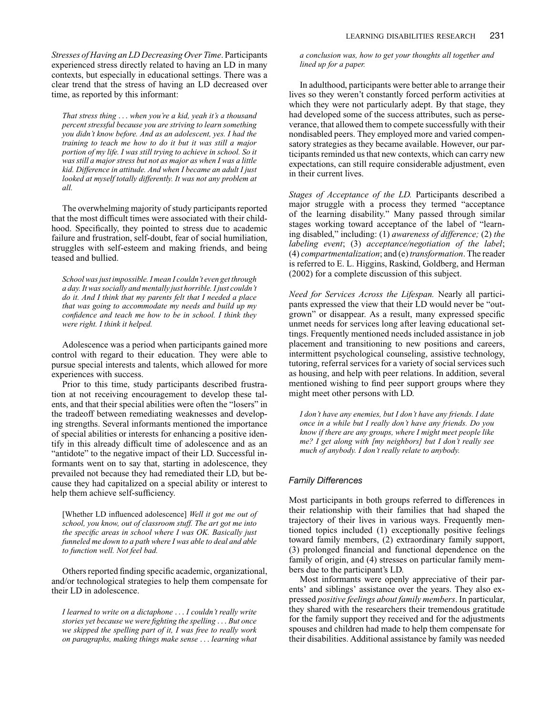*Stresses of Having an LD Decreasing Over Time*. Participants experienced stress directly related to having an LD in many contexts, but especially in educational settings. There was a clear trend that the stress of having an LD decreased over time, as reported by this informant:

*That stress thing* ... *when you're a kid, yeah it's a thousand percent stressful because you are striving to learn something you didn't know before. And as an adolescent, yes. I had the training to teach me how to do it but it was still a major portion of my life. I was still trying to achieve in school. So it was still a major stress but not as major as when I was a little kid. Difference in attitude. And when I became an adult I just looked at myself totally differently. It was not any problem at all.*

The overwhelming majority of study participants reported that the most difficult times were associated with their childhood. Specifically, they pointed to stress due to academic failure and frustration, self-doubt, fear of social humiliation, struggles with self-esteem and making friends, and being teased and bullied.

*School was just impossible. I mean I couldn't even get through a day. It was socially and mentally just horrible. I just couldn't do it. And I think that my parents felt that I needed a place that was going to accommodate my needs and build up my confidence and teach me how to be in school. I think they were right. I think it helped.*

Adolescence was a period when participants gained more control with regard to their education. They were able to pursue special interests and talents, which allowed for more experiences with success.

Prior to this time, study participants described frustration at not receiving encouragement to develop these talents, and that their special abilities were often the "losers" in the tradeoff between remediating weaknesses and developing strengths. Several informants mentioned the importance of special abilities or interests for enhancing a positive identify in this already difficult time of adolescence and as an "antidote" to the negative impact of their LD. Successful informants went on to say that, starting in adolescence, they prevailed not because they had remediated their LD, but because they had capitalized on a special ability or interest to help them achieve self-sufficiency.

[Whether LD influenced adolescence] *Well it got me out of school, you know, out of classroom stuff. The art got me into the specific areas in school where I was OK. Basically just funneled me down to a path where I was able to deal and able to function well. Not feel bad.*

Others reported finding specific academic, organizational, and/or technological strategies to help them compensate for their LD in adolescence.

*I learned to write on a dictaphone* ... *I couldn't really write stories yet because we were fighting the spelling* ... *But once we skipped the spelling part of it, I was free to really work on paragraphs, making things make sense* ... *learning what* *a conclusion was, how to get your thoughts all together and lined up for a paper.*

In adulthood, participants were better able to arrange their lives so they weren't constantly forced perform activities at which they were not particularly adept. By that stage, they had developed some of the success attributes, such as perseverance, that allowed them to compete successfully with their nondisabled peers. They employed more and varied compensatory strategies as they became available. However, our participants reminded us that new contexts, which can carry new expectations, can still require considerable adjustment, even in their current lives.

*Stages of Acceptance of the LD.* Participants described a major struggle with a process they termed "acceptance of the learning disability." Many passed through similar stages working toward acceptance of the label of "learning disabled," including: (1) *awareness of difference;* (2) *the labeling event*; (3) *acceptance/negotiation of the label*; (4) *compartmentalization*; and (e)*transformation*. The reader is referred to E. L. Higgins, Raskind, Goldberg, and Herman (2002) for a complete discussion of this subject.

*Need for Services Across the Lifespan.* Nearly all participants expressed the view that their LD would never be "outgrown" or disappear. As a result, many expressed specific unmet needs for services long after leaving educational settings. Frequently mentioned needs included assistance in job placement and transitioning to new positions and careers, intermittent psychological counseling, assistive technology, tutoring, referral services for a variety of social services such as housing, and help with peer relations. In addition, several mentioned wishing to find peer support groups where they might meet other persons with LD.

*I don't have any enemies, but I don't have any friends. I date once in a while but I really don't have any friends. Do you know if there are any groups, where I might meet people like me? I get along with [my neighbors] but I don't really see much of anybody. I don't really relate to anybody.*

# *Family Differences*

Most participants in both groups referred to differences in their relationship with their families that had shaped the trajectory of their lives in various ways. Frequently mentioned topics included (1) exceptionally positive feelings toward family members, (2) extraordinary family support, (3) prolonged financial and functional dependence on the family of origin, and (4) stresses on particular family members due to the participant's LD.

Most informants were openly appreciative of their parents' and siblings' assistance over the years. They also expressed *positive feelings about family members*. In particular, they shared with the researchers their tremendous gratitude for the family support they received and for the adjustments spouses and children had made to help them compensate for their disabilities. Additional assistance by family was needed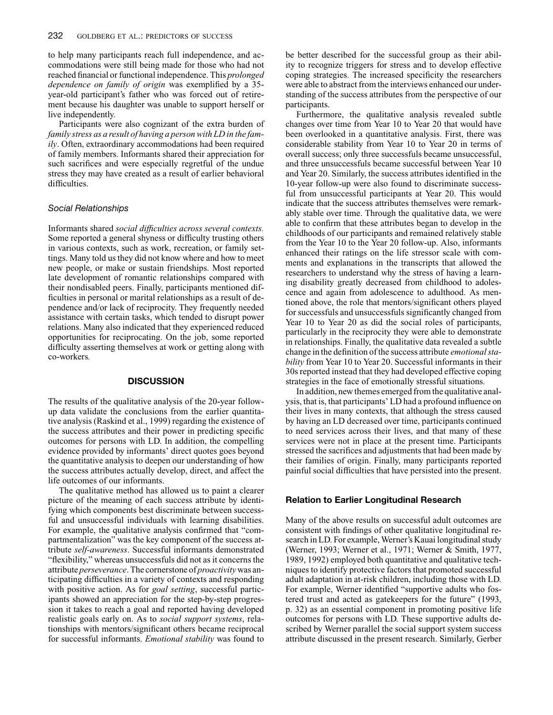to help many participants reach full independence, and accommodations were still being made for those who had not reached financial or functional independence. This *prolonged dependence on family of origin* was exemplified by a 35 year-old participant's father who was forced out of retirement because his daughter was unable to support herself or live independently.

Participants were also cognizant of the extra burden of *family stress as a result of having a person with LD in the family*. Often, extraordinary accommodations had been required of family members. Informants shared their appreciation for such sacrifices and were especially regretful of the undue stress they may have created as a result of earlier behavioral difficulties.

## *Social Relationships*

Informants shared *social difficulties across several contexts.* Some reported a general shyness or difficulty trusting others in various contexts, such as work, recreation, or family settings. Many told us they did not know where and how to meet new people, or make or sustain friendships. Most reported late development of romantic relationships compared with their nondisabled peers. Finally, participants mentioned difficulties in personal or marital relationships as a result of dependence and/or lack of reciprocity. They frequently needed assistance with certain tasks, which tended to disrupt power relations. Many also indicated that they experienced reduced opportunities for reciprocating. On the job, some reported difficulty asserting themselves at work or getting along with co-workers*.*

## **DISCUSSION**

The results of the qualitative analysis of the 20-year followup data validate the conclusions from the earlier quantitative analysis (Raskind et al., 1999) regarding the existence of the success attributes and their power in predicting specific outcomes for persons with LD. In addition, the compelling evidence provided by informants' direct quotes goes beyond the quantitative analysis to deepen our understanding of how the success attributes actually develop, direct, and affect the life outcomes of our informants.

The qualitative method has allowed us to paint a clearer picture of the meaning of each success attribute by identifying which components best discriminate between successful and unsuccessful individuals with learning disabilities. For example, the qualitative analysis confirmed that "compartmentalization" was the key component of the success attribute *self-awareness*. Successful informants demonstrated "flexibility," whereas unsuccessfuls did not as it concerns the attribute *perseverance*. The cornerstone of *proactivity*was anticipating difficulties in a variety of contexts and responding with positive action. As for *goal setting*, successful participants showed an appreciation for the step-by-step progression it takes to reach a goal and reported having developed realistic goals early on. As to *social support systems*, relationships with mentors/significant others became reciprocal for successful informants. *Emotional stability* was found to

be better described for the successful group as their ability to recognize triggers for stress and to develop effective coping strategies. The increased specificity the researchers were able to abstract from the interviews enhanced our understanding of the success attributes from the perspective of our participants.

Furthermore, the qualitative analysis revealed subtle changes over time from Year 10 to Year 20 that would have been overlooked in a quantitative analysis. First, there was considerable stability from Year 10 to Year 20 in terms of overall success; only three successfuls became unsuccessful, and three unsuccessfuls became successful between Year 10 and Year 20. Similarly, the success attributes identified in the 10-year follow-up were also found to discriminate successful from unsuccessful participants at Year 20. This would indicate that the success attributes themselves were remarkably stable over time. Through the qualitative data, we were able to confirm that these attributes began to develop in the childhoods of our participants and remained relatively stable from the Year 10 to the Year 20 follow-up. Also, informants enhanced their ratings on the life stressor scale with comments and explanations in the transcripts that allowed the researchers to understand why the stress of having a learning disability greatly decreased from childhood to adolescence and again from adolescence to adulthood. As mentioned above, the role that mentors/significant others played for successfuls and unsuccessfuls significantly changed from Year 10 to Year 20 as did the social roles of participants, particularly in the reciprocity they were able to demonstrate in relationships. Finally, the qualitative data revealed a subtle change in the definition of the success attribute *emotional stability* from Year 10 to Year 20. Successful informants in their 30s reported instead that they had developed effective coping strategies in the face of emotionally stressful situations.

In addition, new themes emerged from the qualitative analysis, that is, that participants' LD had a profound influence on their lives in many contexts, that although the stress caused by having an LD decreased over time, participants continued to need services across their lives, and that many of these services were not in place at the present time. Participants stressed the sacrifices and adjustments that had been made by their families of origin. Finally, many participants reported painful social difficulties that have persisted into the present.

#### **Relation to Earlier Longitudinal Research**

Many of the above results on successful adult outcomes are consistent with findings of other qualitative longitudinal research in LD. For example, Werner's Kauai longitudinal study (Werner, 1993; Werner et al., 1971; Werner & Smith, 1977, 1989, 1992) employed both quantitative and qualitative techniques to identify protective factors that promoted successful adult adaptation in at-risk children, including those with LD. For example, Werner identified "supportive adults who fostered trust and acted as gatekeepers for the future" (1993, p. 32) as an essential component in promoting positive life outcomes for persons with LD. These supportive adults described by Werner parallel the social support system success attribute discussed in the present research. Similarly, Gerber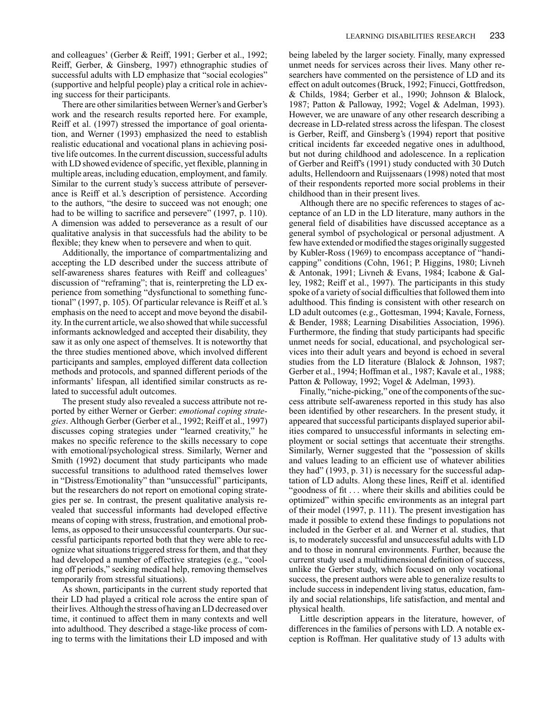and colleagues' (Gerber & Reiff, 1991; Gerber et al., 1992; Reiff, Gerber, & Ginsberg, 1997) ethnographic studies of successful adults with LD emphasize that "social ecologies" (supportive and helpful people) play a critical role in achieving success for their participants.

There are other similarities between Werner's and Gerber's work and the research results reported here. For example, Reiff et al. (1997) stressed the importance of goal orientation, and Werner (1993) emphasized the need to establish realistic educational and vocational plans in achieving positive life outcomes. In the current discussion, successful adults with LD showed evidence of specific, yet flexible, planning in multiple areas, including education, employment, and family. Similar to the current study's success attribute of perseverance is Reiff et al.'s description of persistence. According to the authors, "the desire to succeed was not enough; one had to be willing to sacrifice and persevere" (1997, p. 110). A dimension was added to perseverance as a result of our qualitative analysis in that successfuls had the ability to be flexible; they knew when to persevere and when to quit.

Additionally, the importance of compartmentalizing and accepting the LD described under the success attribute of self-awareness shares features with Reiff and colleagues' discussion of "reframing"; that is, reinterpreting the LD experience from something "dysfunctional to something functional" (1997, p. 105). Of particular relevance is Reiff et al.'s emphasis on the need to accept and move beyond the disability. In the current article, we also showed that while successful informants acknowledged and accepted their disability, they saw it as only one aspect of themselves. It is noteworthy that the three studies mentioned above, which involved different participants and samples, employed different data collection methods and protocols, and spanned different periods of the informants' lifespan, all identified similar constructs as related to successful adult outcomes.

The present study also revealed a success attribute not reported by either Werner or Gerber: *emotional coping strategies*. Although Gerber (Gerber et al., 1992; Reiff et al., 1997) discusses coping strategies under "learned creativity," he makes no specific reference to the skills necessary to cope with emotional/psychological stress. Similarly, Werner and Smith (1992) document that study participants who made successful transitions to adulthood rated themselves lower in "Distress/Emotionality" than "unsuccessful" participants, but the researchers do not report on emotional coping strategies per se. In contrast, the present qualitative analysis revealed that successful informants had developed effective means of coping with stress, frustration, and emotional problems, as opposed to their unsuccessful counterparts. Our successful participants reported both that they were able to recognize what situations triggered stress for them, and that they had developed a number of effective strategies (e.g., "cooling off periods," seeking medical help, removing themselves temporarily from stressful situations).

As shown, participants in the current study reported that their LD had played a critical role across the entire span of their lives. Although the stress of having an LD decreased over time, it continued to affect them in many contexts and well into adulthood. They described a stage-like process of coming to terms with the limitations their LD imposed and with being labeled by the larger society. Finally, many expressed unmet needs for services across their lives. Many other researchers have commented on the persistence of LD and its effect on adult outcomes (Bruck, 1992; Finucci, Gottfredson, & Childs, 1984; Gerber et al., 1990; Johnson & Blalock, 1987; Patton & Palloway, 1992; Vogel & Adelman, 1993). However, we are unaware of any other research describing a decrease in LD-related stress across the lifespan. The closest is Gerber, Reiff, and Ginsberg's (1994) report that positive critical incidents far exceeded negative ones in adulthood, but not during childhood and adolescence. In a replication of Gerber and Reiff's (1991) study conducted with 30 Dutch adults, Hellendoorn and Ruijssenaars (1998) noted that most of their respondents reported more social problems in their childhood than in their present lives.

Although there are no specific references to stages of acceptance of an LD in the LD literature, many authors in the general field of disabilities have discussed acceptance as a general symbol of psychological or personal adjustment. A few have extended or modified the stages originally suggested by Kubler-Ross (1969) to encompass acceptance of "handicapping" conditions (Cohn, 1961; P. Higgins, 1980; Livneh & Antonak, 1991; Livneh & Evans, 1984; Icabone & Galley, 1982; Reiff et al., 1997). The participants in this study spoke of a variety of social difficulties that followed them into adulthood. This finding is consistent with other research on LD adult outcomes (e.g., Gottesman, 1994; Kavale, Forness, & Bender, 1988; Learning Disabilities Association, 1996). Furthermore, the finding that study participants had specific unmet needs for social, educational, and psychological services into their adult years and beyond is echoed in several studies from the LD literature (Blalock & Johnson, 1987; Gerber et al., 1994; Hoffman et al., 1987; Kavale et al., 1988; Patton & Polloway, 1992; Vogel & Adelman, 1993).

Finally, "niche-picking," one of the components of the success attribute self-awareness reported in this study has also been identified by other researchers. In the present study, it appeared that successful participants displayed superior abilities compared to unsuccessful informants in selecting employment or social settings that accentuate their strengths. Similarly, Werner suggested that the "possession of skills and values leading to an efficient use of whatever abilities they had" (1993, p. 31) is necessary for the successful adaptation of LD adults. Along these lines, Reiff et al. identified "goodness of fit ... where their skills and abilities could be optimized" within specific environments as an integral part of their model (1997, p. 111). The present investigation has made it possible to extend these findings to populations not included in the Gerber et al. and Werner et al. studies, that is, to moderately successful and unsuccessful adults with LD and to those in nonrural environments. Further, because the current study used a multidimensional definition of success, unlike the Gerber study, which focused on only vocational success, the present authors were able to generalize results to include success in independent living status, education, family and social relationships, life satisfaction, and mental and physical health.

Little description appears in the literature, however, of differences in the families of persons with LD. A notable exception is Roffman. Her qualitative study of 13 adults with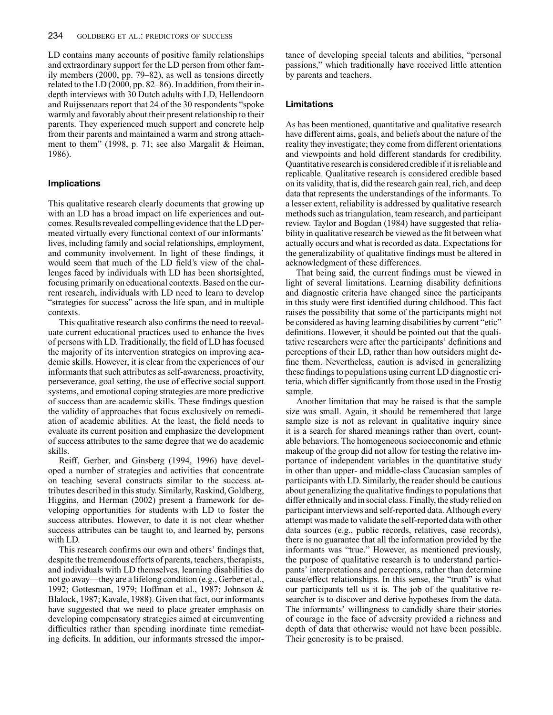LD contains many accounts of positive family relationships and extraordinary support for the LD person from other family members (2000, pp. 79–82), as well as tensions directly related to the LD (2000, pp. 82–86). In addition, from their indepth interviews with 30 Dutch adults with LD, Hellendoorn and Ruijssenaars report that 24 of the 30 respondents "spoke warmly and favorably about their present relationship to their parents. They experienced much support and concrete help from their parents and maintained a warm and strong attachment to them" (1998, p. 71; see also Margalit & Heiman, 1986).

## **Implications**

This qualitative research clearly documents that growing up with an LD has a broad impact on life experiences and outcomes. Results revealed compelling evidence that the LD permeated virtually every functional context of our informants' lives, including family and social relationships, employment, and community involvement. In light of these findings, it would seem that much of the LD field's view of the challenges faced by individuals with LD has been shortsighted, focusing primarily on educational contexts. Based on the current research, individuals with LD need to learn to develop "strategies for success" across the life span, and in multiple contexts.

This qualitative research also confirms the need to reevaluate current educational practices used to enhance the lives of persons with LD. Traditionally, the field of LD has focused the majority of its intervention strategies on improving academic skills. However, it is clear from the experiences of our informants that such attributes as self-awareness, proactivity, perseverance, goal setting, the use of effective social support systems, and emotional coping strategies are more predictive of success than are academic skills. These findings question the validity of approaches that focus exclusively on remediation of academic abilities. At the least, the field needs to evaluate its current position and emphasize the development of success attributes to the same degree that we do academic skills.

Reiff, Gerber, and Ginsberg (1994, 1996) have developed a number of strategies and activities that concentrate on teaching several constructs similar to the success attributes described in this study. Similarly, Raskind, Goldberg, Higgins, and Herman (2002) present a framework for developing opportunities for students with LD to foster the success attributes. However, to date it is not clear whether success attributes can be taught to, and learned by, persons with LD.

This research confirms our own and others' findings that, despite the tremendous efforts of parents, teachers, therapists, and individuals with LD themselves, learning disabilities do not go away—they are a lifelong condition (e.g., Gerber et al., 1992; Gottesman, 1979; Hoffman et al., 1987; Johnson & Blalock, 1987; Kavale, 1988). Given that fact, our informants have suggested that we need to place greater emphasis on developing compensatory strategies aimed at circumventing difficulties rather than spending inordinate time remediating deficits. In addition, our informants stressed the importance of developing special talents and abilities, "personal passions," which traditionally have received little attention by parents and teachers.

## **Limitations**

As has been mentioned, quantitative and qualitative research have different aims, goals, and beliefs about the nature of the reality they investigate; they come from different orientations and viewpoints and hold different standards for credibility. Quantitative research is considered credible if it is reliable and replicable. Qualitative research is considered credible based on its validity, that is, did the research gain real, rich, and deep data that represents the understandings of the informants. To a lesser extent, reliability is addressed by qualitative research methods such as triangulation, team research, and participant review. Taylor and Bogdan (1984) have suggested that reliability in qualitative research be viewed as the fit between what actually occurs and what is recorded as data. Expectations for the generalizability of qualitative findings must be altered in acknowledgment of these differences.

That being said, the current findings must be viewed in light of several limitations. Learning disability definitions and diagnostic criteria have changed since the participants in this study were first identified during childhood. This fact raises the possibility that some of the participants might not be considered as having learning disabilities by current "etic" definitions. However, it should be pointed out that the qualitative researchers were after the participants' definitions and perceptions of their LD, rather than how outsiders might define them. Nevertheless, caution is advised in generalizing these findings to populations using current LD diagnostic criteria, which differ significantly from those used in the Frostig sample.

Another limitation that may be raised is that the sample size was small. Again, it should be remembered that large sample size is not as relevant in qualitative inquiry since it is a search for shared meanings rather than overt, countable behaviors. The homogeneous socioeconomic and ethnic makeup of the group did not allow for testing the relative importance of independent variables in the quantitative study in other than upper- and middle-class Caucasian samples of participants with LD. Similarly, the reader should be cautious about generalizing the qualitative findings to populations that differ ethnically and in social class. Finally, the study relied on participant interviews and self-reported data. Although every attempt was made to validate the self-reported data with other data sources (e.g., public records, relatives, case records), there is no guarantee that all the information provided by the informants was "true." However, as mentioned previously, the purpose of qualitative research is to understand participants' interpretations and perceptions, rather than determine cause/effect relationships. In this sense, the "truth" is what our participants tell us it is. The job of the qualitative researcher is to discover and derive hypotheses from the data. The informants' willingness to candidly share their stories of courage in the face of adversity provided a richness and depth of data that otherwise would not have been possible. Their generosity is to be praised.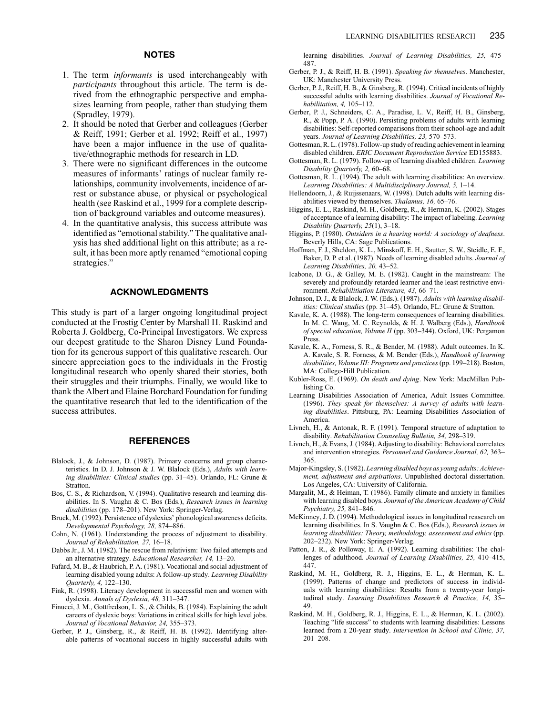- 1. The term *informants* is used interchangeably with *participants* throughout this article. The term is derived from the ethnographic perspective and emphasizes learning from people, rather than studying them (Spradley, 1979).
- 2. It should be noted that Gerber and colleagues (Gerber & Reiff, 1991; Gerber et al. 1992; Reiff et al., 1997) have been a major influence in the use of qualitative/ethnographic methods for research in LD.
- 3. There were no significant differences in the outcome measures of informants' ratings of nuclear family relationships, community involvements, incidence of arrest or substance abuse, or physical or psychological health (see Raskind et al., 1999 for a complete description of background variables and outcome measures).
- 4. In the quantitative analysis, this success attribute was identified as "emotional stability." The qualitative analysis has shed additional light on this attribute; as a result, it has been more aptly renamed "emotional coping strategies."

## **ACKNOWLEDGMENTS**

This study is part of a larger ongoing longitudinal project conducted at the Frostig Center by Marshall H. Raskind and Roberta J. Goldberg, Co-Principal Investigators. We express our deepest gratitude to the Sharon Disney Lund Foundation for its generous support of this qualitative research. Our sincere appreciation goes to the individuals in the Frostig longitudinal research who openly shared their stories, both their struggles and their triumphs. Finally, we would like to thank the Albert and Elaine Borchard Foundation for funding the quantitative research that led to the identification of the success attributes.

## **REFERENCES**

- Blalock, J., & Johnson, D. (1987). Primary concerns and group characteristics. In D. J. Johnson & J. W. Blalock (Eds.), *Adults with learning disabilities: Clinical studies* (pp. 31–45). Orlando, FL: Grune & Stratton.
- Bos, C. S., & Richardson, V. (1994). Qualitative research and learning disabilities. In S. Vaughn & C. Bos (Eds.), *Research issues in learning disabilities* (pp. 178–201). New York: Springer-Verlag.
- Bruck, M. (1992). Persistence of dyslexics' phonological awareness deficits. *Developmental Psychology, 28,* 874–886.
- Cohn, N. (1961). Understanding the process of adjustment to disability. *Journal of Rehabilitation, 27,* 16–18.
- Dabbs Jr., J. M. (1982). The rescue from relativism: Two failed attempts and an alternative strategy. *Educational Researcher, 14,* 13–20.
- Fafard, M. B., & Haubrich, P. A. (1981). Vocational and social adjustment of learning disabled young adults: A follow-up study. *Learning Disability Quarterly, 4,* 122–130.
- Fink, R. (1998). Literacy development in successful men and women with dyslexia. *Annals of Dyslexia, 48,* 311–347.
- Finucci, J. M., Gottfredson, L. S., & Childs, B. (1984). Explaining the adult careers of dyslexic boys: Variations in critical skills for high level jobs. *Journal of Vocational Behavior, 24,* 355–373.
- Gerber, P. J., Ginsberg, R., & Reiff, H. B. (1992). Identifying alterable patterns of vocational success in highly successful adults with

learning disabilities. *Journal of Learning Disabilities, 25,* 475– 487.

- Gerber, P. J., & Reiff, H. B. (1991). *Speaking for themselves*. Manchester, UK: Manchester University Press.
- Gerber, P. J., Reiff, H. B., & Ginsberg, R. (1994). Critical incidents of highly successful adults with learning disabilities. *Journal of Vocational Rehabilitation, 4,* 105–112.
- Gerber, P. J., Schneiders, C. A., Paradise, L. V., Reiff, H. B., Ginsberg, R., & Popp, P. A. (1990). Persisting problems of adults with learning disabilities: Self-reported comparisons from their school-age and adult years. *Journal of Learning Disabilities, 23,* 570–573.
- Gottesman, R. L. (1978). Follow-up study of reading achievement in learning disabled children. *ERIC Document Reproduction Service* ED155883.
- Gottesman, R. L. (1979). Follow-up of learning disabled children. *Learning Disability Quarterly, 2,* 60–68.
- Gottesman, R. L. (1994). The adult with learning disabilities: An overview. *Learning Disabilities: A Multidisciplinary Journal, 5,* 1–14.
- Hellendoorn, J., & Ruijssenaars, W. (1998). Dutch adults with learning disabilities viewed by themselves. *Thalamus, 16,* 65–76.
- Higgins, E. L., Raskind, M. H., Goldberg, R., & Herman, K. (2002). Stages of acceptance of a learning disability: The impact of labeling. *Learning Disability Quarterly, 25*(1), 3–18.
- Higgins, P. (1980). *Outsiders in a hearing world: A sociology of deafness*. Beverly Hills, CA: Sage Publications.
- Hoffman, F. J., Sheldon, K. L., Minskoff, E. H., Sautter, S. W., Steidle, E. F., Baker, D. P. et al. (1987). Needs of learning disabled adults. *Journal of Learning Disabilities, 20,* 43–52.
- Icabone, D. G., & Galley, M. E. (1982). Caught in the mainstream: The severely and profoundly retarded learner and the least restrictive environment. *Rehabilitiation Literature, 43,* 66–71.
- Johnson, D. J., & Blalock, J. W. (Eds.). (1987). *Adults with learning disabilities: Clinical studies* (pp. 31–45). Orlando, FL: Grune & Stratton.
- Kavale, K. A. (1988). The long-term consequences of learning disabilities. In M. C. Wang, M. C. Reynolds, & H. J. Walberg (Eds.), *Handbook of special education, Volume II* (pp. 303–344). Oxford, UK: Pergamon Press.
- Kavale, K. A., Forness, S. R., & Bender, M. (1988). Adult outcomes. In K. A. Kavale, S. R. Forness, & M. Bender (Eds.), *Handbook of learning disabilities, Volume III: Programs and practices*(pp. 199–218). Boston, MA: College-Hill Publication.
- Kubler-Ross, E. (1969). *On death and dying*. New York: MacMillan Publishing Co.
- Learning Disabilities Association of America, Adult Issues Committee. (1996). *They speak for themselves: A survey of adults with learning disabilities*. Pittsburg, PA: Learning Disabilities Association of America.
- Livneh, H., & Antonak, R. F. (1991). Temporal structure of adaptation to disability. *Rehabilitation Counseling Bulletin, 34,* 298–319.
- Livneh, H., & Evans, J. (1984). Adjusting to disability: Behavioral correlates and intervention strategies. *Personnel and Guidance Journal, 62,* 363– 365.
- Major-Kingsley, S. (1982). *Learning disabled boys as young adults: Achievement, adjustment and aspirations*. Unpublished doctoral dissertation. Los Angeles, CA: University of California.
- Margalit, M., & Heiman, T. (1986). Family climate and anxiety in families with learning disabled boys. *Journal of the American Academy of Child Psychiatry, 25,* 841–846.
- McKinney, J. D. (1994). Methodological issues in longitudinal reasearch on learning disabilities. In S. Vaughn & C. Bos (Eds.), *Research issues in learning disabilities: Theory, methodology, assessment and ethics* (pp. 202–232). New York: Springer-Verlag.
- Patton, J. R., & Polloway, E. A. (1992). Learning disabilities: The challenges of adulthood. *Journal of Learning Disabilities, 25,* 410–415, 447.
- Raskind, M. H., Goldberg, R. J., Higgins, E. L., & Herman, K. L. (1999). Patterns of change and predictors of success in individuals with learning disabilities: Results from a twenty-year longitudinal study. *Learning Disabilities Research & Practice, 14,* 35– 49.
- Raskind, M. H., Goldberg, R. J., Higgins, E. L., & Herman, K. L. (2002). Teaching "life success" to students with learning disabilities: Lessons learned from a 20-year study. *Intervention in School and Clinic, 37,* 201–208.